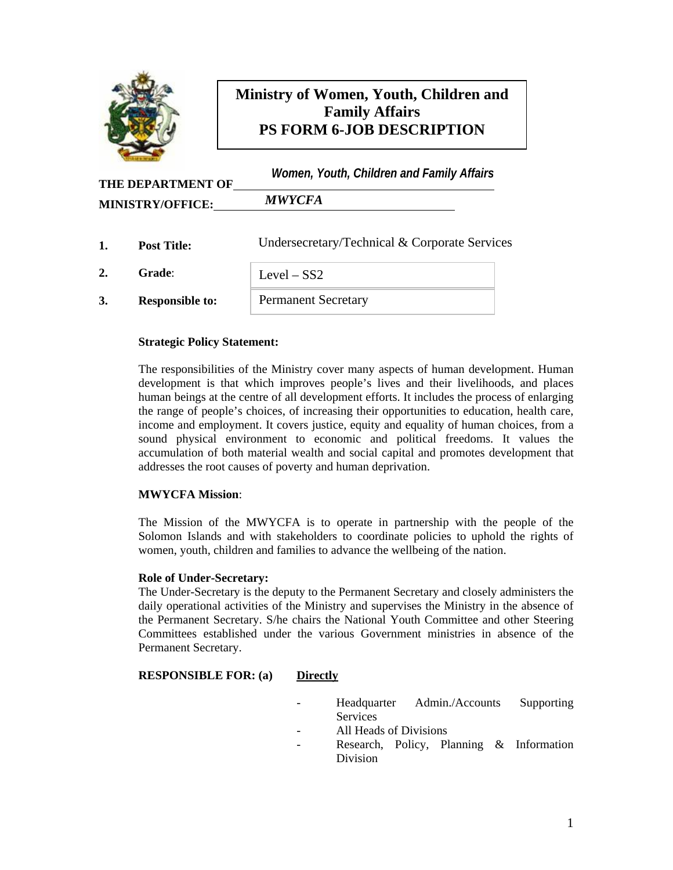

# **Ministry of Women, Youth, Children and Family Affairs PS FORM 6-JOB DESCRIPTION**

| <b>THE DEPARTMENT OF</b> | Women, Youth, Children and Family Affairs |
|--------------------------|-------------------------------------------|
| <b>MINISTRY/OFFICE:</b>  | <b>MWYCFA</b>                             |

|    | <b>Post Title:</b>     | Undersecretary/Technical & Corporate Services |  |
|----|------------------------|-----------------------------------------------|--|
|    | <b>Grade:</b>          | Level $-$ SS2                                 |  |
| 3. | <b>Responsible to:</b> | <b>Permanent Secretary</b>                    |  |

### **Strategic Policy Statement:**

The responsibilities of the Ministry cover many aspects of human development. Human development is that which improves people's lives and their livelihoods, and places human beings at the centre of all development efforts. It includes the process of enlarging the range of people's choices, of increasing their opportunities to education, health care, income and employment. It covers justice, equity and equality of human choices, from a sound physical environment to economic and political freedoms. It values the accumulation of both material wealth and social capital and promotes development that addresses the root causes of poverty and human deprivation.

#### **MWYCFA Mission**:

The Mission of the MWYCFA is to operate in partnership with the people of the Solomon Islands and with stakeholders to coordinate policies to uphold the rights of women, youth, children and families to advance the wellbeing of the nation.

#### **Role of Under-Secretary:**

The Under-Secretary is the deputy to the Permanent Secretary and closely administers the daily operational activities of the Ministry and supervises the Ministry in the absence of the Permanent Secretary. S/he chairs the National Youth Committee and other Steering Committees established under the various Government ministries in absence of the Permanent Secretary.

#### **RESPONSIBLE FOR: (a) Directly**

- Headquarter Admin./Accounts Supporting **Services**
- All Heads of Divisions
- Research, Policy, Planning & Information Division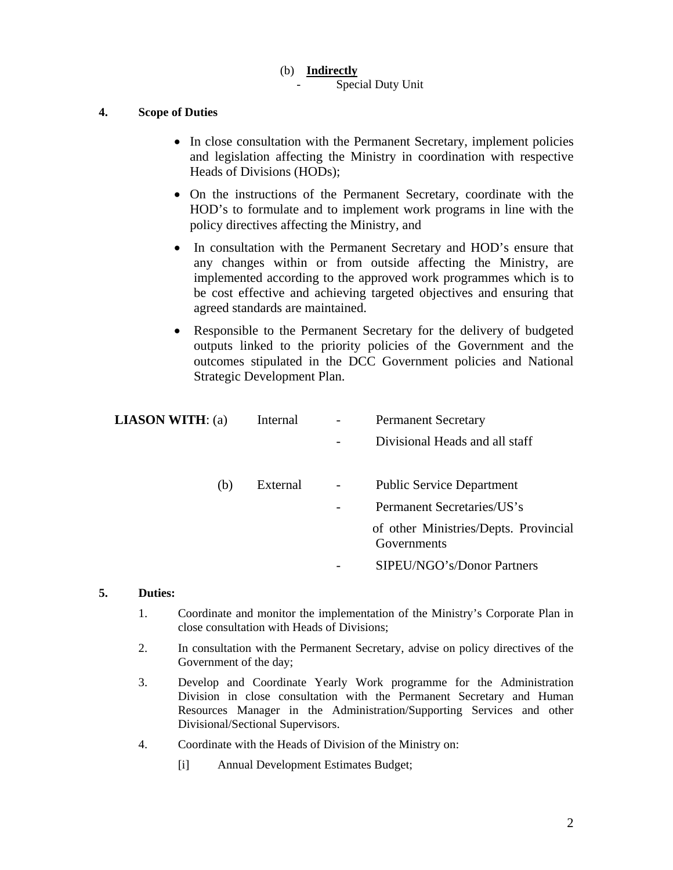### (b) **Indirectly**

Special Duty Unit

### **4. Scope of Duties**

- In close consultation with the Permanent Secretary, implement policies and legislation affecting the Ministry in coordination with respective Heads of Divisions (HODs);
- On the instructions of the Permanent Secretary, coordinate with the HOD's to formulate and to implement work programs in line with the policy directives affecting the Ministry, and
- In consultation with the Permanent Secretary and HOD's ensure that any changes within or from outside affecting the Ministry, are implemented according to the approved work programmes which is to be cost effective and achieving targeted objectives and ensuring that agreed standards are maintained.
- Responsible to the Permanent Secretary for the delivery of budgeted outputs linked to the priority policies of the Government and the outcomes stipulated in the DCC Government policies and National Strategic Development Plan.

| <b>LIASON WITH:</b> (a) | Internal | $\overline{\phantom{0}}$ | <b>Permanent Secretary</b>                           |
|-------------------------|----------|--------------------------|------------------------------------------------------|
|                         |          |                          | Divisional Heads and all staff                       |
|                         |          |                          |                                                      |
| (b)                     | External | $\overline{\phantom{0}}$ | <b>Public Service Department</b>                     |
|                         |          |                          | Permanent Secretaries/US's                           |
|                         |          |                          | of other Ministries/Depts. Provincial<br>Governments |
|                         |          |                          | SIPEU/NGO's/Donor Partners                           |

### **5. Duties:**

- 1. Coordinate and monitor the implementation of the Ministry's Corporate Plan in close consultation with Heads of Divisions;
- 2. In consultation with the Permanent Secretary, advise on policy directives of the Government of the day;
- 3. Develop and Coordinate Yearly Work programme for the Administration Division in close consultation with the Permanent Secretary and Human Resources Manager in the Administration/Supporting Services and other Divisional/Sectional Supervisors.
- 4. Coordinate with the Heads of Division of the Ministry on:
	- [i] Annual Development Estimates Budget;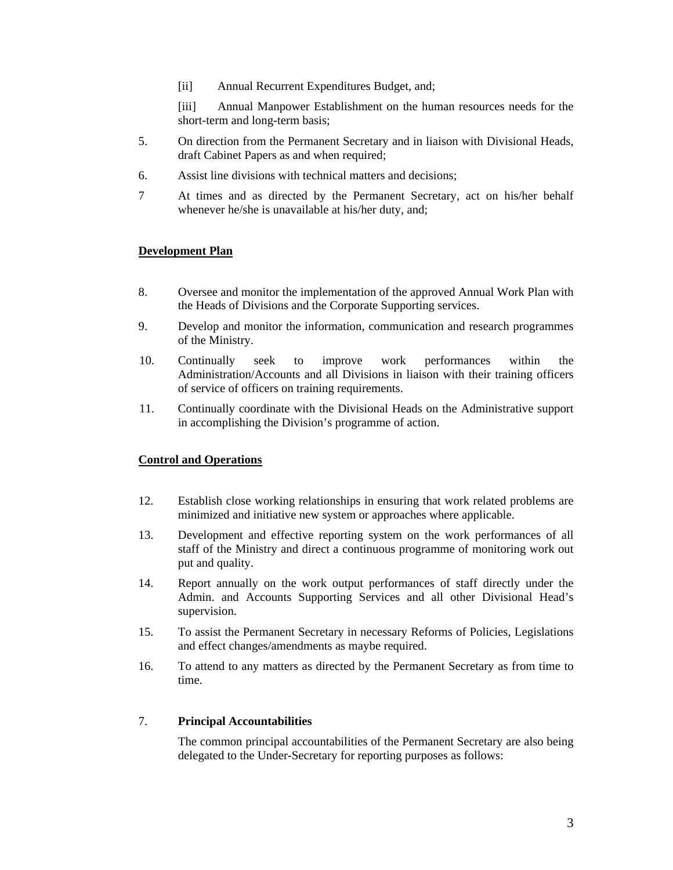[ii] Annual Recurrent Expenditures Budget, and;

 [iii] Annual Manpower Establishment on the human resources needs for the short-term and long-term basis;

- 5. On direction from the Permanent Secretary and in liaison with Divisional Heads, draft Cabinet Papers as and when required;
- 6. Assist line divisions with technical matters and decisions;
- 7 At times and as directed by the Permanent Secretary, act on his/her behalf whenever he/she is unavailable at his/her duty, and;

### **Development Plan**

- 8. Oversee and monitor the implementation of the approved Annual Work Plan with the Heads of Divisions and the Corporate Supporting services.
- 9. Develop and monitor the information, communication and research programmes of the Ministry.
- 10. Continually seek to improve work performances within the Administration/Accounts and all Divisions in liaison with their training officers of service of officers on training requirements.
- 11. Continually coordinate with the Divisional Heads on the Administrative support in accomplishing the Division's programme of action.

#### **Control and Operations**

- 12. Establish close working relationships in ensuring that work related problems are minimized and initiative new system or approaches where applicable.
- 13. Development and effective reporting system on the work performances of all staff of the Ministry and direct a continuous programme of monitoring work out put and quality.
- 14. Report annually on the work output performances of staff directly under the Admin. and Accounts Supporting Services and all other Divisional Head's supervision.
- 15. To assist the Permanent Secretary in necessary Reforms of Policies, Legislations and effect changes/amendments as maybe required.
- 16. To attend to any matters as directed by the Permanent Secretary as from time to time.

#### 7. **Principal Accountabilities**

The common principal accountabilities of the Permanent Secretary are also being delegated to the Under-Secretary for reporting purposes as follows: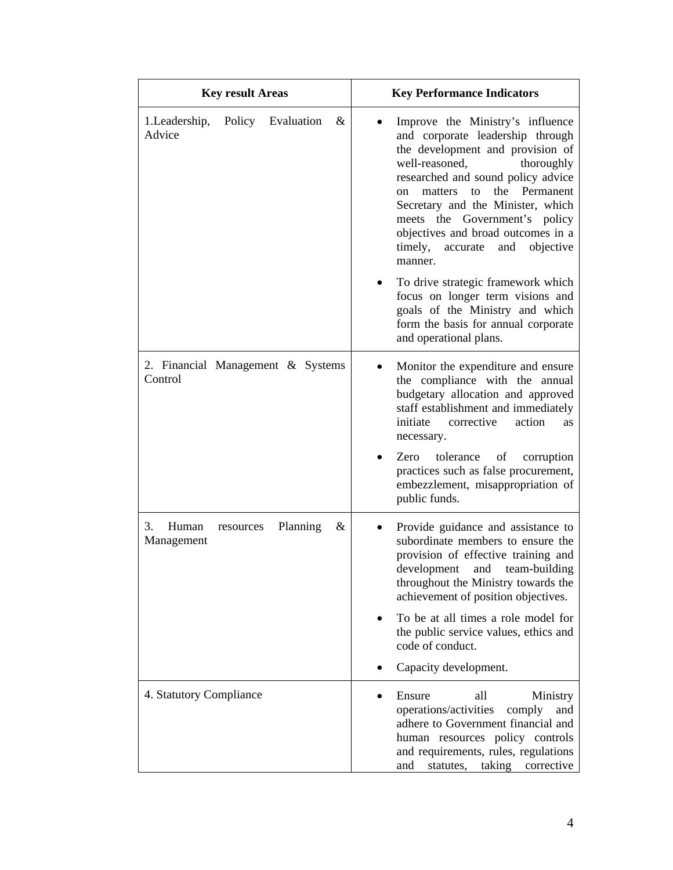| <b>Key result Areas</b>                                 | <b>Key Performance Indicators</b>                                                                                                                                                                                                                                                                                                                                                     |  |
|---------------------------------------------------------|---------------------------------------------------------------------------------------------------------------------------------------------------------------------------------------------------------------------------------------------------------------------------------------------------------------------------------------------------------------------------------------|--|
| Evaluation<br>&<br>1. Leadership,<br>Policy<br>Advice   | Improve the Ministry's influence<br>and corporate leadership through<br>the development and provision of<br>well-reasoned,<br>thoroughly<br>researched and sound policy advice<br>the Permanent<br>to<br>matters<br>on<br>Secretary and the Minister, which<br>meets the Government's policy<br>objectives and broad outcomes in a<br>timely,<br>and objective<br>accurate<br>manner. |  |
|                                                         | To drive strategic framework which<br>focus on longer term visions and<br>goals of the Ministry and which<br>form the basis for annual corporate<br>and operational plans.                                                                                                                                                                                                            |  |
| 2. Financial Management & Systems<br>Control            | Monitor the expenditure and ensure<br>the compliance with the annual<br>budgetary allocation and approved<br>staff establishment and immediately<br>initiate<br>corrective<br>action<br><b>as</b><br>necessary.<br>tolerance<br>Zero<br>of<br>corruption<br>practices such as false procurement,<br>embezzlement, misappropriation of<br>public funds.                                |  |
| Human<br>3.<br>Planning<br>&<br>resources<br>Management | Provide guidance and assistance to<br>subordinate members to ensure the<br>provision of effective training and<br>development and team-building<br>throughout the Ministry towards the<br>achievement of position objectives.<br>To be at all times a role model for<br>the public service values, ethics and<br>code of conduct.<br>Capacity development.                            |  |
| 4. Statutory Compliance                                 | Ensure<br>all<br>Ministry<br>operations/activities<br>comply<br>and<br>adhere to Government financial and<br>human resources policy controls<br>and requirements, rules, regulations<br>taking<br>statutes,<br>corrective<br>and                                                                                                                                                      |  |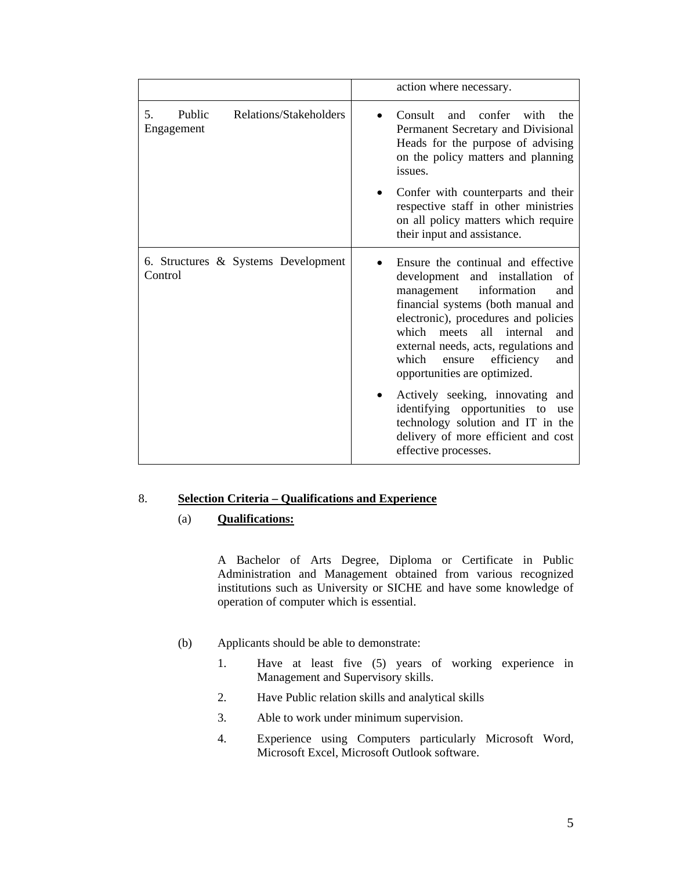| action where necessary.                                                                                                                                                                                                                                                                                                                                                                                                                                                                                     |  |
|-------------------------------------------------------------------------------------------------------------------------------------------------------------------------------------------------------------------------------------------------------------------------------------------------------------------------------------------------------------------------------------------------------------------------------------------------------------------------------------------------------------|--|
| Consult<br>confer with<br>and<br>the<br>Permanent Secretary and Divisional<br>Heads for the purpose of advising<br>on the policy matters and planning<br>issues.                                                                                                                                                                                                                                                                                                                                            |  |
| Confer with counterparts and their<br>respective staff in other ministries<br>on all policy matters which require<br>their input and assistance.                                                                                                                                                                                                                                                                                                                                                            |  |
| Ensure the continual and effective<br>development and installation of<br>information<br>management<br>and<br>financial systems (both manual and<br>electronic), procedures and policies<br>which<br>all<br>internal<br>meets<br>and<br>external needs, acts, regulations and<br>which<br>efficiency<br>ensure<br>and<br>opportunities are optimized.<br>Actively seeking, innovating and<br>identifying opportunities to<br>use<br>technology solution and IT in the<br>delivery of more efficient and cost |  |
|                                                                                                                                                                                                                                                                                                                                                                                                                                                                                                             |  |

## 8. **Selection Criteria – Qualifications and Experience**

#### (a) **Qualifications:**

A Bachelor of Arts Degree, Diploma or Certificate in Public Administration and Management obtained from various recognized institutions such as University or SICHE and have some knowledge of operation of computer which is essential.

- (b) Applicants should be able to demonstrate:
	- 1. Have at least five (5) years of working experience in Management and Supervisory skills.
	- 2. Have Public relation skills and analytical skills
	- 3. Able to work under minimum supervision.
	- 4. Experience using Computers particularly Microsoft Word, Microsoft Excel, Microsoft Outlook software.